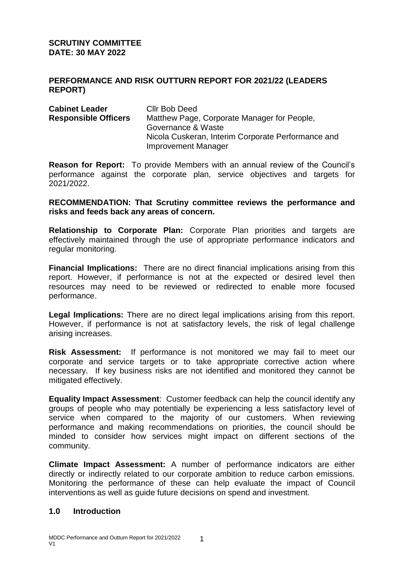**SCRUTINY COMMITTEE DATE: 30 MAY 2022** 

### **PERFORMANCE AND RISK OUTTURN REPORT FOR 2021/22 (LEADERS REPORT)**

| <b>Cabinet Leader</b>       | Cllr Bob Deed                                      |
|-----------------------------|----------------------------------------------------|
| <b>Responsible Officers</b> | Matthew Page, Corporate Manager for People,        |
|                             | Governance & Waste                                 |
|                             | Nicola Cuskeran, Interim Corporate Performance and |
|                             | <b>Improvement Manager</b>                         |

**Reason for Report:** To provide Members with an annual review of the Council's performance against the corporate plan, service objectives and targets for 2021/2022.

**RECOMMENDATION: That Scrutiny committee reviews the performance and risks and feeds back any areas of concern.**

**Relationship to Corporate Plan:** Corporate Plan priorities and targets are effectively maintained through the use of appropriate performance indicators and regular monitoring.

**Financial Implications:** There are no direct financial implications arising from this report. However, if performance is not at the expected or desired level then resources may need to be reviewed or redirected to enable more focused performance.

**Legal Implications:** There are no direct legal implications arising from this report. However, if performance is not at satisfactory levels, the risk of legal challenge arising increases.

**Risk Assessment:** If performance is not monitored we may fail to meet our corporate and service targets or to take appropriate corrective action where necessary. If key business risks are not identified and monitored they cannot be mitigated effectively.

**Equality Impact Assessment**: Customer feedback can help the council identify any groups of people who may potentially be experiencing a less satisfactory level of service when compared to the majority of our customers. When reviewing performance and making recommendations on priorities, the council should be minded to consider how services might impact on different sections of the community.

**Climate Impact Assessment:** A number of performance indicators are either directly or indirectly related to our corporate ambition to reduce carbon emissions. Monitoring the performance of these can help evaluate the impact of Council interventions as well as guide future decisions on spend and investment.

### **1.0 Introduction**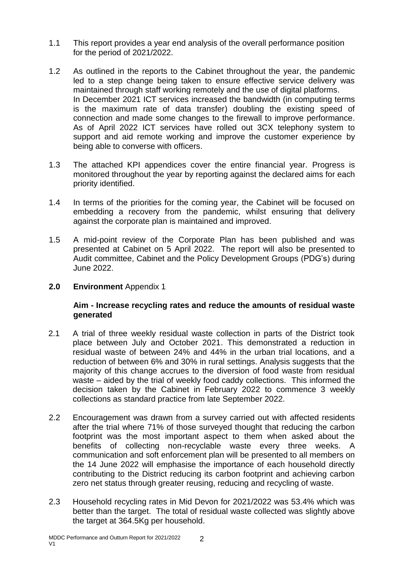- 1.1 This report provides a year end analysis of the overall performance position for the period of 2021/2022.
- 1.2 As outlined in the reports to the Cabinet throughout the year, the pandemic led to a step change being taken to ensure effective service delivery was maintained through staff working remotely and the use of digital platforms. In December 2021 ICT services increased the bandwidth (in computing terms is the maximum rate of data transfer) doubling the existing speed of connection and made some changes to the firewall to improve performance. As of April 2022 ICT services have rolled out 3CX telephony system to support and aid remote working and improve the customer experience by being able to converse with officers.
- 1.3 The attached KPI appendices cover the entire financial year. Progress is monitored throughout the year by reporting against the declared aims for each priority identified.
- 1.4 In terms of the priorities for the coming year, the Cabinet will be focused on embedding a recovery from the pandemic, whilst ensuring that delivery against the corporate plan is maintained and improved.
- 1.5 A mid-point review of the Corporate Plan has been published and was presented at Cabinet on 5 April 2022. The report will also be presented to Audit committee, Cabinet and the Policy Development Groups (PDG's) during June 2022.
- **2.0 Environment** Appendix 1

## **Aim - Increase recycling rates and reduce the amounts of residual waste generated**

- 2.1 A trial of three weekly residual waste collection in parts of the District took place between July and October 2021. This demonstrated a reduction in residual waste of between 24% and 44% in the urban trial locations, and a reduction of between 6% and 30% in rural settings. Analysis suggests that the majority of this change accrues to the diversion of food waste from residual waste – aided by the trial of weekly food caddy collections. This informed the decision taken by the Cabinet in February 2022 to commence 3 weekly collections as standard practice from late September 2022.
- 2.2 Encouragement was drawn from a survey carried out with affected residents after the trial where 71% of those surveyed thought that reducing the carbon footprint was the most important aspect to them when asked about the benefits of collecting non-recyclable waste every three weeks. A communication and soft enforcement plan will be presented to all members on the 14 June 2022 will emphasise the importance of each household directly contributing to the District reducing its carbon footprint and achieving carbon zero net status through greater reusing, reducing and recycling of waste.
- 2.3 Household recycling rates in Mid Devon for 2021/2022 was 53.4% which was better than the target. The total of residual waste collected was slightly above the target at 364.5Kg per household.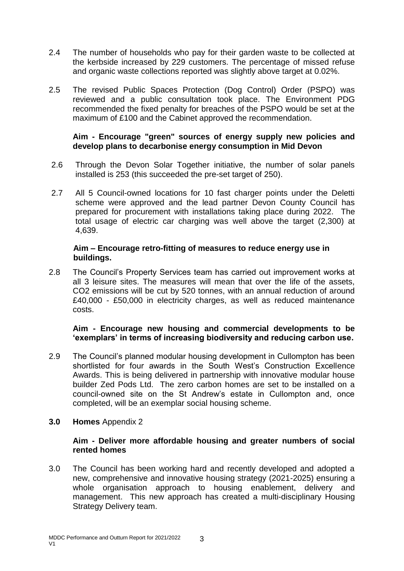- 2.4 The number of households who pay for their garden waste to be collected at the kerbside increased by 229 customers. The percentage of missed refuse and organic waste collections reported was slightly above target at 0.02%.
- 2.5 The revised Public Spaces Protection (Dog Control) Order (PSPO) was reviewed and a public consultation took place. The Environment PDG recommended the fixed penalty for breaches of the PSPO would be set at the maximum of £100 and the Cabinet approved the recommendation.

# **Aim - Encourage "green" sources of energy supply new policies and develop plans to decarbonise energy consumption in Mid Devon**

- 2.6 Through the Devon Solar Together initiative, the number of solar panels installed is 253 (this succeeded the pre-set target of 250).
- 2.7 All 5 Council-owned locations for 10 fast charger points under the Deletti scheme were approved and the lead partner Devon County Council has prepared for procurement with installations taking place during 2022. The total usage of electric car charging was well above the target (2,300) at 4,639.

### **Aim – Encourage retro-fitting of measures to reduce energy use in buildings.**

2.8 The Council's Property Services team has carried out improvement works at all 3 leisure sites. The measures will mean that over the life of the assets, CO2 emissions will be cut by 520 tonnes, with an annual reduction of around £40,000 - £50,000 in electricity charges, as well as reduced maintenance costs.

### **Aim - Encourage new housing and commercial developments to be 'exemplars' in terms of increasing biodiversity and reducing carbon use.**

- 2.9 The Council's planned modular housing development in Cullompton has been shortlisted for four awards in the South West's Construction Excellence Awards. This is being delivered in partnership with innovative modular house builder Zed Pods Ltd. The zero carbon homes are set to be installed on a council-owned site on the St Andrew's estate in Cullompton and, once completed, will be an exemplar social housing scheme.
- **3.0 Homes** Appendix 2

### **Aim - Deliver more affordable housing and greater numbers of social rented homes**

3.0 The Council has been working hard and recently developed and adopted a new, comprehensive and innovative housing strategy (2021-2025) ensuring a whole organisation approach to housing enablement, delivery and management. This new approach has created a multi-disciplinary Housing Strategy Delivery team.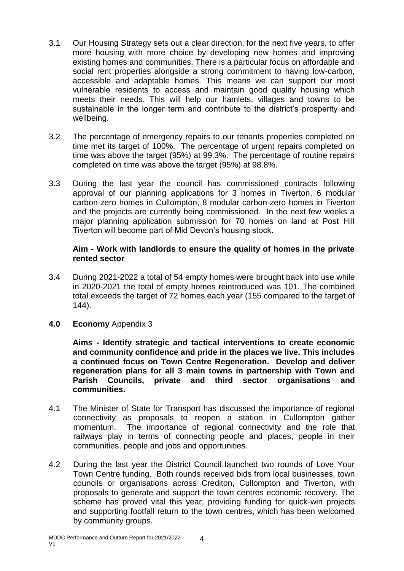- 3.1 Our Housing Strategy sets out a clear direction, for the next five years, to offer more housing with more choice by developing new homes and improving existing homes and communities. There is a particular focus on affordable and social rent properties alongside a strong commitment to having low-carbon, accessible and adaptable homes. This means we can support our most vulnerable residents to access and maintain good quality housing which meets their needs. This will help our hamlets, villages and towns to be sustainable in the longer term and contribute to the district's prosperity and wellbeing.
- 3.2 The percentage of emergency repairs to our tenants properties completed on time met its target of 100%. The percentage of urgent repairs completed on time was above the target (95%) at 99.3%. The percentage of routine repairs completed on time was above the target (95%) at 98.8%.
- 3.3 During the last year the council has commissioned contracts following approval of our planning applications for 3 homes in Tiverton, 6 modular carbon-zero homes in Cullompton, 8 modular carbon-zero homes in Tiverton and the projects are currently being commissioned. In the next few weeks a major planning application submission for 70 homes on land at Post Hill Tiverton will become part of Mid Devon's housing stock.

## **Aim - Work with landlords to ensure the quality of homes in the private rented sector**

- 3.4 During 2021-2022 a total of 54 empty homes were brought back into use while in 2020-2021 the total of empty homes reintroduced was 101. The combined total exceeds the target of 72 homes each year (155 compared to the target of 144).
- **4.0 Economy** Appendix 3

**Aims - Identify strategic and tactical interventions to create economic and community confidence and pride in the places we live. This includes a continued focus on Town Centre Regeneration. Develop and deliver regeneration plans for all 3 main towns in partnership with Town and Parish Councils, private and third sector organisations and communities.**

- 4.1 The Minister of State for Transport has discussed the importance of regional connectivity as proposals to reopen a station in Cullompton gather momentum. The importance of regional connectivity and the role that railways play in terms of connecting people and places, people in their communities, people and jobs and opportunities.
- 4.2 During the last year the District Council launched two rounds of Love Your Town Centre funding. Both rounds received bids from local businesses, town councils or organisations across Crediton, Cullompton and Tiverton, with proposals to generate and support the town centres economic recovery. The scheme has proved vital this year, providing funding for quick-win projects and supporting footfall return to the town centres, which has been welcomed by community groups.

4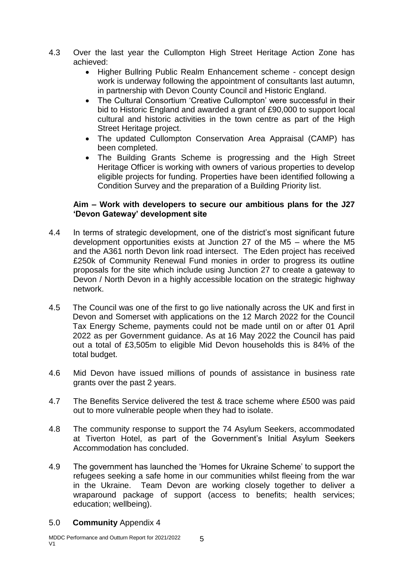- 4.3 Over the last year the Cullompton High Street Heritage Action Zone has achieved:
	- Higher Bullring Public Realm Enhancement scheme concept design work is underway following the appointment of consultants last autumn, in partnership with Devon County Council and Historic England.
	- The Cultural Consortium 'Creative Cullompton' were successful in their bid to Historic England and awarded a grant of £90,000 to support local cultural and historic activities in the town centre as part of the High Street Heritage project.
	- The updated Cullompton Conservation Area Appraisal (CAMP) has been completed.
	- The Building Grants Scheme is progressing and the High Street Heritage Officer is working with owners of various properties to develop eligible projects for funding. Properties have been identified following a Condition Survey and the preparation of a Building Priority list.

## **Aim – Work with developers to secure our ambitious plans for the J27 'Devon Gateway' development site**

- 4.4 In terms of strategic development, one of the district's most significant future development opportunities exists at Junction 27 of the M5 – where the M5 and the A361 north Devon link road intersect. The Eden project has received £250k of Community Renewal Fund monies in order to progress its outline proposals for the site which include using Junction 27 to create a gateway to Devon / North Devon in a highly accessible location on the strategic highway network.
- 4.5 The Council was one of the first to go live nationally across the UK and first in Devon and Somerset with applications on the 12 March 2022 for the Council Tax Energy Scheme, payments could not be made until on or after 01 April 2022 as per Government guidance. As at 16 May 2022 the Council has paid out a total of £3,505m to eligible Mid Devon households this is 84% of the total budget.
- 4.6 Mid Devon have issued millions of pounds of assistance in business rate grants over the past 2 years.
- 4.7 The Benefits Service delivered the test & trace scheme where £500 was paid out to more vulnerable people when they had to isolate.
- 4.8 The community response to support the 74 Asylum Seekers, accommodated at Tiverton Hotel, as part of the Government's Initial Asylum Seekers Accommodation has concluded.
- 4.9 The government has launched the 'Homes for Ukraine Scheme' to support the refugees seeking a safe home in our communities whilst fleeing from the war in the Ukraine. Team Devon are working closely together to deliver a wraparound package of support (access to benefits; health services; education; wellbeing).

### 5.0 **Community** Appendix 4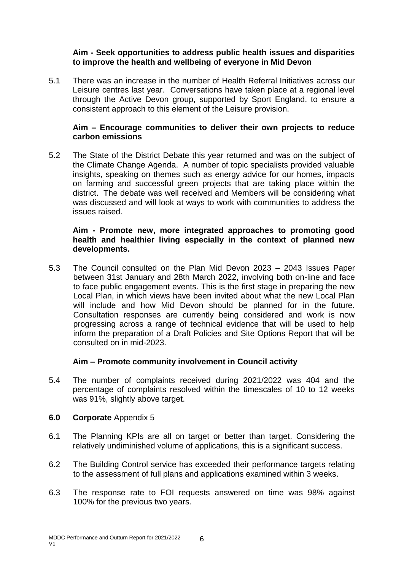## **Aim - Seek opportunities to address public health issues and disparities to improve the health and wellbeing of everyone in Mid Devon**

5.1 There was an increase in the number of Health Referral Initiatives across our Leisure centres last year. Conversations have taken place at a regional level through the Active Devon group, supported by Sport England, to ensure a consistent approach to this element of the Leisure provision.

# **Aim – Encourage communities to deliver their own projects to reduce carbon emissions**

5.2 The State of the District Debate this year returned and was on the subject of the Climate Change Agenda. A number of topic specialists provided valuable insights, speaking on themes such as energy advice for our homes, impacts on farming and successful green projects that are taking place within the district. The debate was well received and Members will be considering what was discussed and will look at ways to work with communities to address the issues raised.

### **Aim - Promote new, more integrated approaches to promoting good health and healthier living especially in the context of planned new developments.**

5.3 The Council consulted on the Plan Mid Devon 2023 – 2043 Issues Paper between 31st January and 28th March 2022, involving both on-line and face to face public engagement events. This is the first stage in preparing the new Local Plan, in which views have been invited about what the new Local Plan will include and how Mid Devon should be planned for in the future. Consultation responses are currently being considered and work is now progressing across a range of technical evidence that will be used to help inform the preparation of a Draft Policies and Site Options Report that will be consulted on in mid-2023.

### **Aim – Promote community involvement in Council activity**

5.4 The number of complaints received during 2021/2022 was 404 and the percentage of complaints resolved within the timescales of 10 to 12 weeks was 91%, slightly above target.

### **6.0 Corporate** Appendix 5

- 6.1 The Planning KPIs are all on target or better than target. Considering the relatively undiminished volume of applications, this is a significant success.
- 6.2 The Building Control service has exceeded their performance targets relating to the assessment of full plans and applications examined within 3 weeks.
- 6.3 The response rate to FOI requests answered on time was 98% against 100% for the previous two years.

6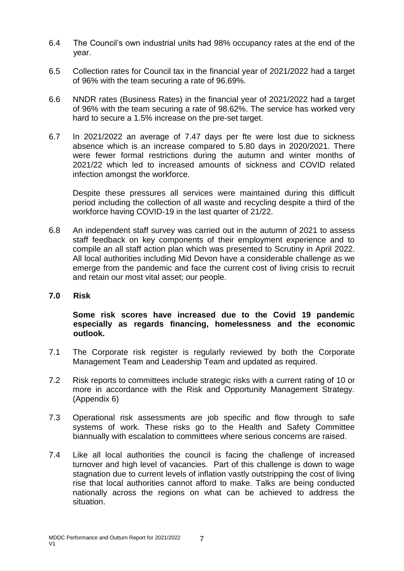- 6.4 The Council's own industrial units had 98% occupancy rates at the end of the year.
- 6.5 Collection rates for Council tax in the financial year of 2021/2022 had a target of 96% with the team securing a rate of 96.69%.
- 6.6 NNDR rates (Business Rates) in the financial year of 2021/2022 had a target of 96% with the team securing a rate of 98.62%. The service has worked very hard to secure a 1.5% increase on the pre-set target.
- 6.7 In 2021/2022 an average of 7.47 days per fte were lost due to sickness absence which is an increase compared to 5.80 days in 2020/2021. There were fewer formal restrictions during the autumn and winter months of 2021/22 which led to increased amounts of sickness and COVID related infection amongst the workforce.

Despite these pressures all services were maintained during this difficult period including the collection of all waste and recycling despite a third of the workforce having COVID-19 in the last quarter of 21/22.

- 6.8 An independent staff survey was carried out in the autumn of 2021 to assess staff feedback on key components of their employment experience and to compile an all staff action plan which was presented to Scrutiny in April 2022. All local authorities including Mid Devon have a considerable challenge as we emerge from the pandemic and face the current cost of living crisis to recruit and retain our most vital asset; our people.
- **7.0 Risk**

**Some risk scores have increased due to the Covid 19 pandemic especially as regards financing, homelessness and the economic outlook.**

- 7.1 The Corporate risk register is regularly reviewed by both the Corporate Management Team and Leadership Team and updated as required.
- 7.2 Risk reports to committees include strategic risks with a current rating of 10 or more in accordance with the Risk and Opportunity Management Strategy. (Appendix 6)
- 7.3 Operational risk assessments are job specific and flow through to safe systems of work. These risks go to the Health and Safety Committee biannually with escalation to committees where serious concerns are raised.
- 7.4 Like all local authorities the council is facing the challenge of increased turnover and high level of vacancies. Part of this challenge is down to wage stagnation due to current levels of inflation vastly outstripping the cost of living rise that local authorities cannot afford to make. Talks are being conducted nationally across the regions on what can be achieved to address the situation.

7